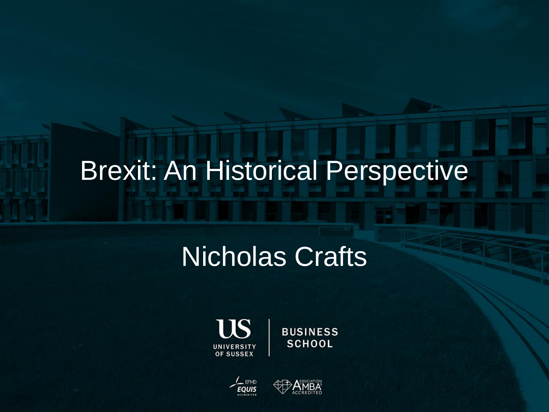#### Brexit: An Historical Perspective

#### Nicholas Crafts



**BUSINESS SCHOOL** 



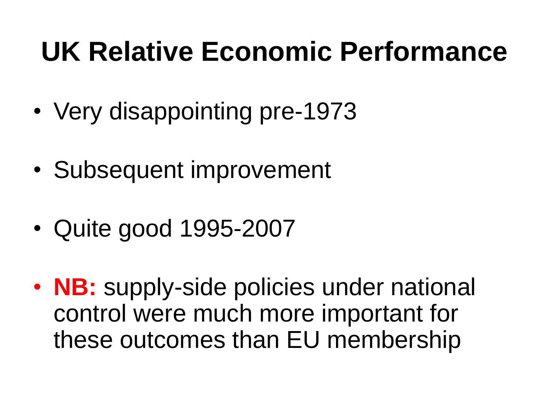#### **UK Relative Economic Performance**

- Very disappointing pre-1973
- Subsequent improvement
- Quite good 1995-2007
- **NB:** supply-side policies under national control were much more important for these outcomes than EU membership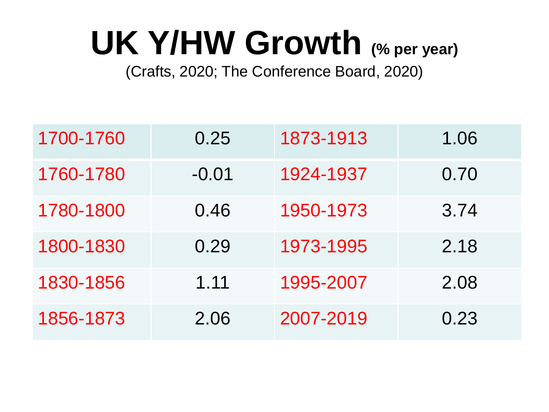# **UK Y/HW Growth (% per year)**

(Crafts, 2020; The Conference Board, 2020)

| 1700-1760 | 0.25    | 1873-1913 | 1.06 |
|-----------|---------|-----------|------|
| 1760-1780 | $-0.01$ | 1924-1937 | 0.70 |
| 1780-1800 | 0.46    | 1950-1973 | 3.74 |
| 1800-1830 | 0.29    | 1973-1995 | 2.18 |
| 1830-1856 | 1.11    | 1995-2007 | 2.08 |
| 1856-1873 | 2.06    | 2007-2019 | 0.23 |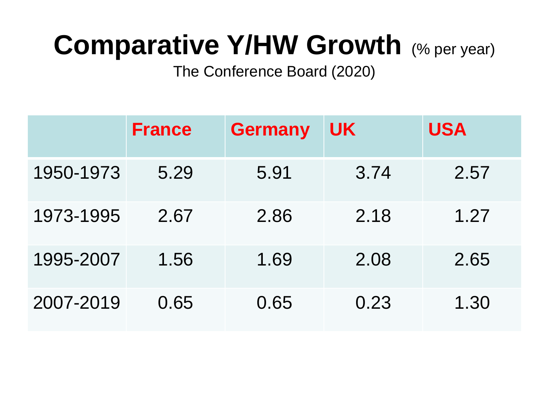### **Comparative Y/HW Growth (% per year)**

The Conference Board (2020)

|           | <b>France</b> | <b>Germany</b> | <b>UK</b> | <b>USA</b> |
|-----------|---------------|----------------|-----------|------------|
| 1950-1973 | 5.29          | 5.91           | 3.74      | 2.57       |
| 1973-1995 | 2.67          | 2.86           | 2.18      | 1.27       |
| 1995-2007 | 1.56          | 1.69           | 2.08      | 2.65       |
| 2007-2019 | 0.65          | 0.65           | 0.23      | 1.30       |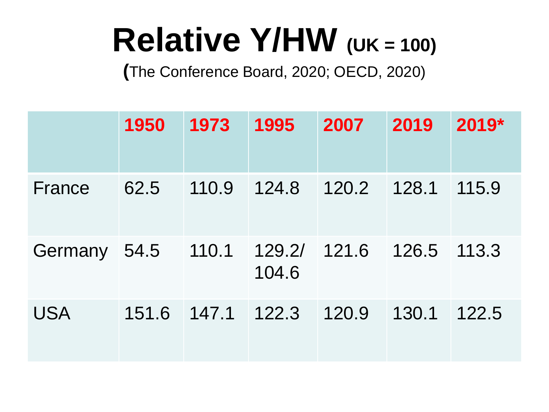# **Relative Y/HW** (UK = 100)

**(**The Conference Board, 2020; OECD, 2020)

|              | 1950  | 1973          | 1995                  | 2007  | 2019  | 2019* |
|--------------|-------|---------------|-----------------------|-------|-------|-------|
| France       | 62.5  | 110.9         | 124.8                 | 120.2 | 128.1 | 115.9 |
| Germany 54.5 |       | 110.1         | 129.2/ 121.6<br>104.6 |       | 126.5 | 113.3 |
| <b>USA</b>   | 151.6 | $147.1$ 122.3 |                       | 120.9 | 130.1 | 122.5 |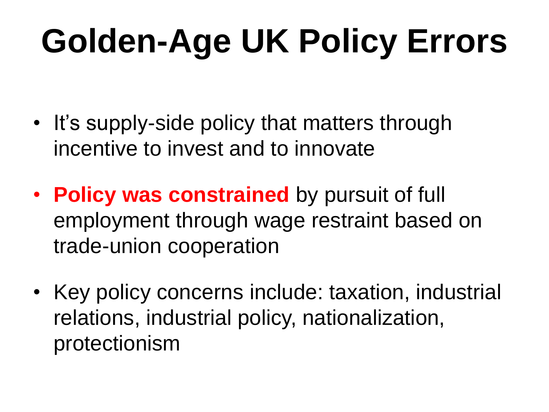# **Golden-Age UK Policy Errors**

- It's supply-side policy that matters through incentive to invest and to innovate
- **Policy was constrained** by pursuit of full employment through wage restraint based on trade-union cooperation
- Key policy concerns include: taxation, industrial relations, industrial policy, nationalization, protectionism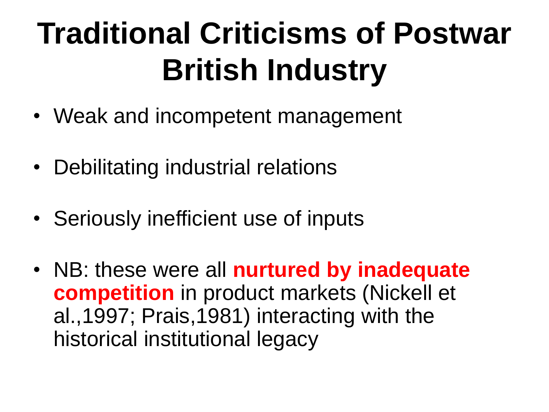## **Traditional Criticisms of Postwar British Industry**

- Weak and incompetent management
- Debilitating industrial relations
- Seriously inefficient use of inputs
- NB: these were all **nurtured by inadequate competition** in product markets (Nickell et al.,1997; Prais,1981) interacting with the historical institutional legacy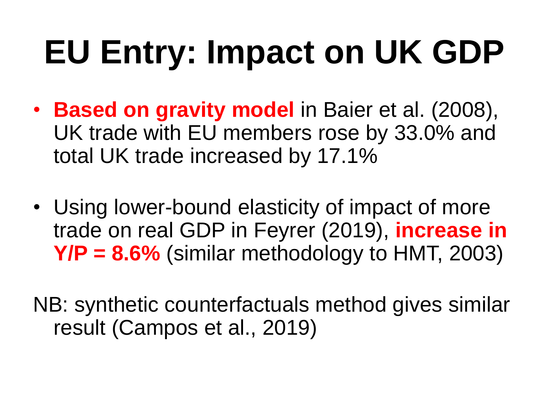# **EU Entry: Impact on UK GDP**

- **Based on gravity model** in Baier et al. (2008), UK trade with EU members rose by 33.0% and total UK trade increased by 17.1%
- Using lower-bound elasticity of impact of more trade on real GDP in Feyrer (2019), **increase in Y/P = 8.6%** (similar methodology to HMT, 2003)
- NB: synthetic counterfactuals method gives similar result (Campos et al., 2019)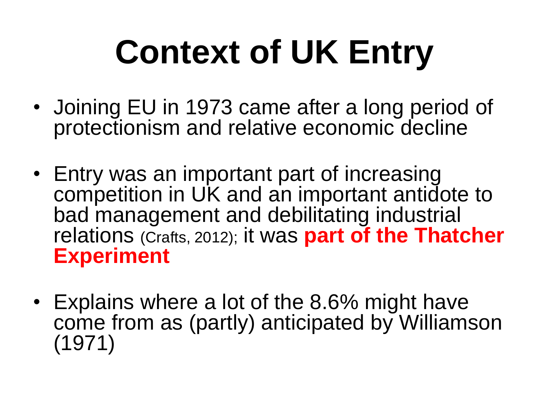# **Context of UK Entry**

- Joining EU in 1973 came after a long period of protectionism and relative economic decline
- Entry was an important part of increasing competition in UK and an important antidote to bad management and debilitating industrial relations (Crafts, 2012); it was **part of the Thatcher Experiment**
- Explains where a lot of the 8.6% might have come from as (partly) anticipated by Williamson (1971)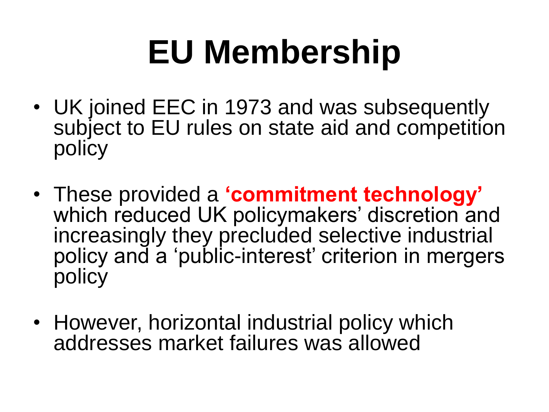# **EU Membership**

- UK joined EEC in 1973 and was subsequently subject to EU rules on state aid and competition policy
- These provided a **'commitment technology'** which reduced UK policymakers' discretion and increasingly they precluded selective industrial policy and a 'public-interest' criterion in mergers policy
- However, horizontal industrial policy which addresses market failures was allowed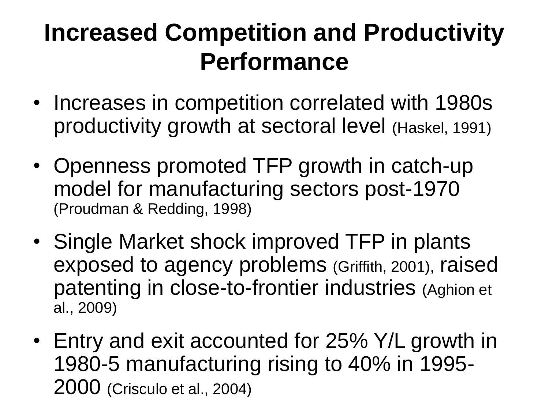#### **Increased Competition and Productivity Performance**

- Increases in competition correlated with 1980s productivity growth at sectoral level (Haskel, 1991)
- Openness promoted TFP growth in catch-up model for manufacturing sectors post-1970 (Proudman & Redding, 1998)
- Single Market shock improved TFP in plants exposed to agency problems (Griffith, 2001), raised patenting in close-to-frontier industries (Aghion et al., 2009)
- Entry and exit accounted for 25% Y/L growth in 1980-5 manufacturing rising to 40% in 1995- 2000 (Crisculo et al., 2004)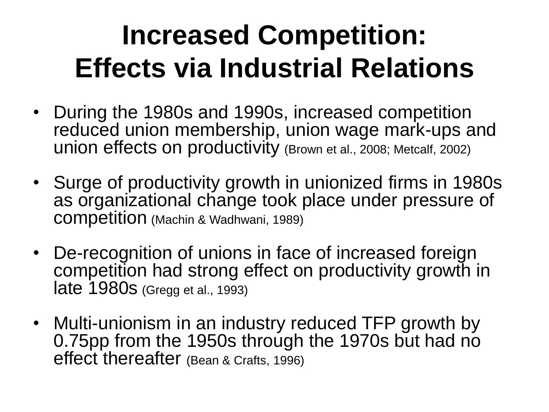### **Increased Competition: Effects via Industrial Relations**

- During the 1980s and 1990s, increased competition reduced union membership, union wage mark-ups and union effects on productivity (Brown et al., 2008; Metcalf, 2002)
- Surge of productivity growth in unionized firms in 1980s as organizational change took place under pressure of competition (Machin & Wadhwani, 1989)
- De-recognition of unions in face of increased foreign competition had strong effect on productivity growth in late 1980s (Gregg et al., 1993)
- Multi-unionism in an industry reduced TFP growth by 0.75pp from the 1950s through the 1970s but had no effect thereafter (Bean & Crafts, 1996)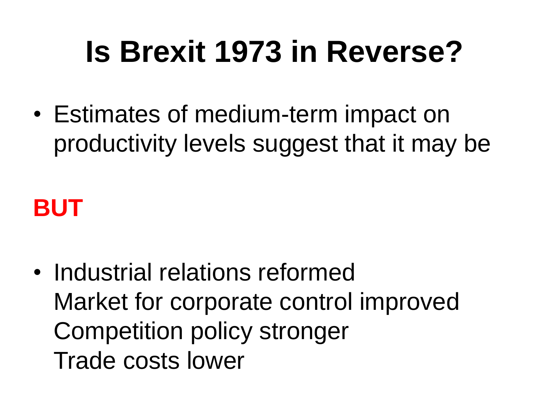## **Is Brexit 1973 in Reverse?**

• Estimates of medium-term impact on productivity levels suggest that it may be

#### **BUT**

• Industrial relations reformed Market for corporate control improved Competition policy stronger Trade costs lower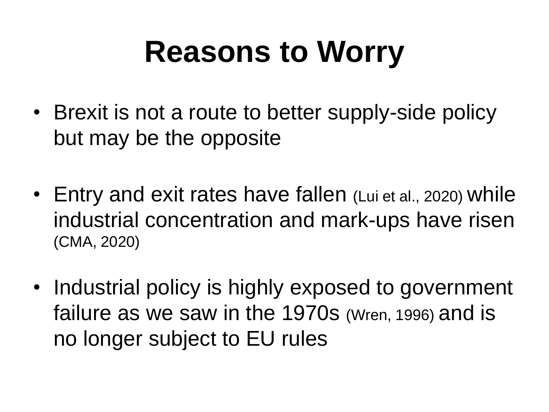## **Reasons to Worry**

- Brexit is not a route to better supply-side policy but may be the opposite
- Entry and exit rates have fallen (Lui et al., 2020) while industrial concentration and mark-ups have risen (CMA, 2020)
- Industrial policy is highly exposed to government failure as we saw in the 1970s (Wren, 1996) and is no longer subject to EU rules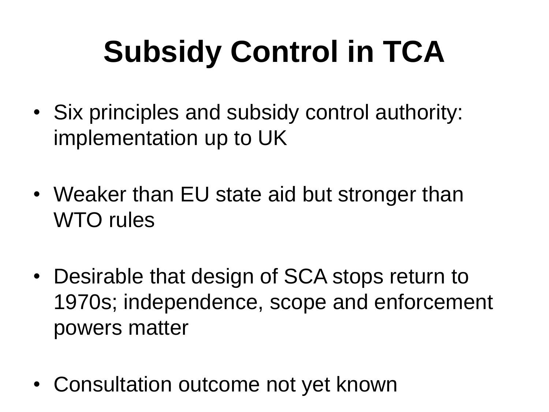# **Subsidy Control in TCA**

- Six principles and subsidy control authority: implementation up to UK
- Weaker than EU state aid but stronger than WTO rules
- Desirable that design of SCA stops return to 1970s; independence, scope and enforcement powers matter
- Consultation outcome not yet known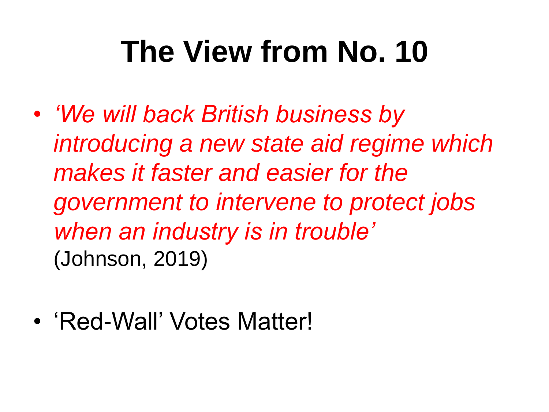## **The View from No. 10**

- *'We will back British business by introducing a new state aid regime which makes it faster and easier for the government to intervene to protect jobs when an industry is in trouble'*  (Johnson, 2019)
- 'Red-Wall' Votes Matter!